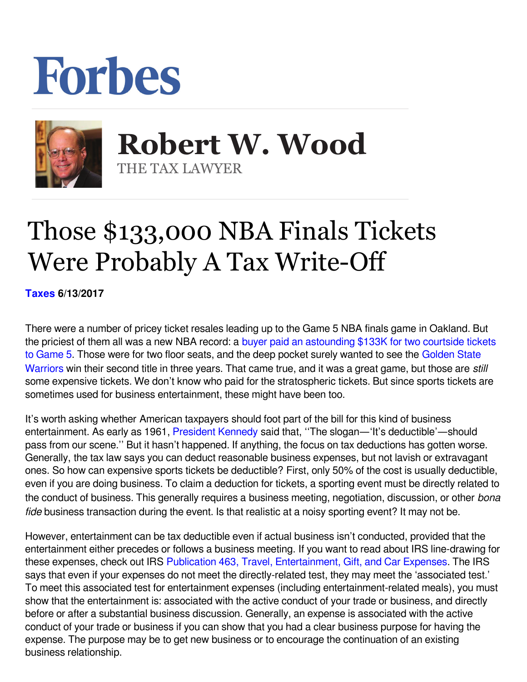## Forbes



 **Robert W. Wood** THE TAX LAWYER

## Those \$133,000 NBA Finals Tickets Were Probably A Tax Write-Off

**[Taxes](https://www.forbes.com/taxes) 6/13/2017** 

There were a number of pricey ticket resales leading up to the Game 5 NBA finals game in Oakland. But the priciest of them all was a new NBA record: a [buyer paid an astounding \\$133K for two courtside tickets](http://www.espn.com/nba/story/_/id/19616802/buyer-pays-133k-two-courtside-tickets-game-5-nba-finals-golden-state-warriors-cleveland-cavaliers) [to Game 5.](http://www.espn.com/nba/story/_/id/19616802/buyer-pays-133k-two-courtside-tickets-game-5-nba-finals-golden-state-warriors-cleveland-cavaliers) Those were for two floor seats, and the deep pocket surely wanted to see the [Golden State](http://www.espn.com/nba/team/_/name/gs/golden-state-warriors) [Warriors](http://www.espn.com/nba/team/_/name/gs/golden-state-warriors) win their second title in three years. That came true, and it was a great game, but those are *still* some expensive tickets. We don't know who paid for the stratospheric tickets. But since sports tickets are sometimes used for business entertainment, these might have been too.

It's worth asking whether American taxpayers should foot part of the bill for this kind of business entertainment. As early as 1961, [President Kennedy](http://www.nationalcenter.org/JFKTaxes1961.html) said that, ''The slogan—'It's deductible'—should pass from our scene.'' But it hasn't happened. If anything, the focus on tax deductions has gotten worse. Generally, the tax law says you can deduct reasonable business expenses, but not lavish or extravagant ones. So how can expensive sports tickets be deductible? First, only 50% of the cost is usually deductible, even if you are doing business. To claim a deduction for tickets, a sporting event must be directly related to the conduct of business. This generally requires a business meeting, negotiation, discussion, or other *bona fide* business transaction during the event. Is that realistic at a noisy sporting event? It may not be.

However, entertainment can be tax deductible even if actual business isn't conducted, provided that the entertainment either precedes or follows a business meeting. If you want to read about IRS line-drawing for these expenses, check out IRS [Publication 463, Travel, Entertainment, Gift, and Car Expenses.](https://www.google.com/url?sa=t&rct=j&q=&esrc=s&source=web&cd=4&cad=rja&uact=8&ved=0ahUKEwiOppKIz_fPAhWngFQKHTEeBVoQFggxMAM&url=https://www.irs.gov/publications/p463/ch02.html&usg=AFQjCNGzojx-0gTjj1frh3y2LPP7kJhvSw&bvm=bv.136593572,d.cGw) The IRS says that even if your expenses do not meet the directly-related test, they may meet the 'associated test.' To meet this associated test for entertainment expenses (including entertainment-related meals), you must show that the entertainment is: associated with the active conduct of your trade or business, and directly before or after a substantial business discussion. Generally, an expense is associated with the active conduct of your trade or business if you can show that you had a clear business purpose for having the expense. The purpose may be to get new business or to encourage the continuation of an existing business relationship.